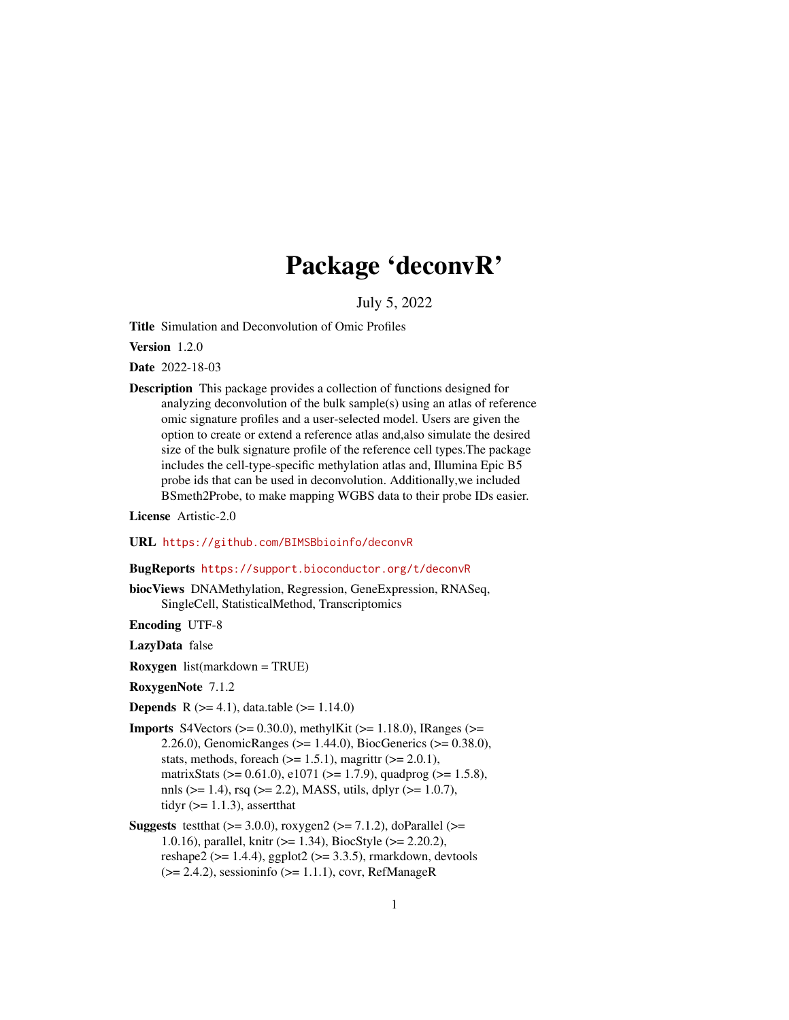## Package 'deconvR'

July 5, 2022

Title Simulation and Deconvolution of Omic Profiles

Version 1.2.0

Date 2022-18-03

Description This package provides a collection of functions designed for analyzing deconvolution of the bulk sample(s) using an atlas of reference omic signature profiles and a user-selected model. Users are given the option to create or extend a reference atlas and,also simulate the desired size of the bulk signature profile of the reference cell types.The package includes the cell-type-specific methylation atlas and, Illumina Epic B5 probe ids that can be used in deconvolution. Additionally,we included BSmeth2Probe, to make mapping WGBS data to their probe IDs easier.

License Artistic-2.0

#### URL <https://github.com/BIMSBbioinfo/deconvR>

## BugReports <https://support.bioconductor.org/t/deconvR>

biocViews DNAMethylation, Regression, GeneExpression, RNASeq, SingleCell, StatisticalMethod, Transcriptomics

Encoding UTF-8

LazyData false

Roxygen list(markdown = TRUE)

RoxygenNote 7.1.2

**Depends** R  $(>= 4.1)$ , data.table  $(>= 1.14.0)$ 

- **Imports** S4Vectors ( $>= 0.30.0$ ), methylKit ( $>= 1.18.0$ ), IRanges ( $>=$ 2.26.0), GenomicRanges (>= 1.44.0), BiocGenerics (>= 0.38.0), stats, methods, foreach  $(>= 1.5.1)$ , magrittr  $(>= 2.0.1)$ , matrixStats ( $> = 0.61.0$ ), e1071 ( $>= 1.7.9$ ), quadprog ( $>= 1.5.8$ ), nnls ( $> = 1.4$ ), rsq ( $>= 2.2$ ), MASS, utils, dplyr ( $>= 1.0.7$ ), tidyr  $(>= 1.1.3)$ , assert that
- **Suggests** test that  $(>= 3.0.0)$ , roxygen  $2 (= 7.1.2)$ , do Parallel  $(>= 1.1.2)$ 1.0.16), parallel, knitr (>= 1.34), BiocStyle (>= 2.20.2), reshape2 ( $>= 1.4.4$ ), ggplot2 ( $>= 3.3.5$ ), rmarkdown, devtools  $(>= 2.4.2)$ , sessioninfo  $(>= 1.1.1)$ , covr, RefManageR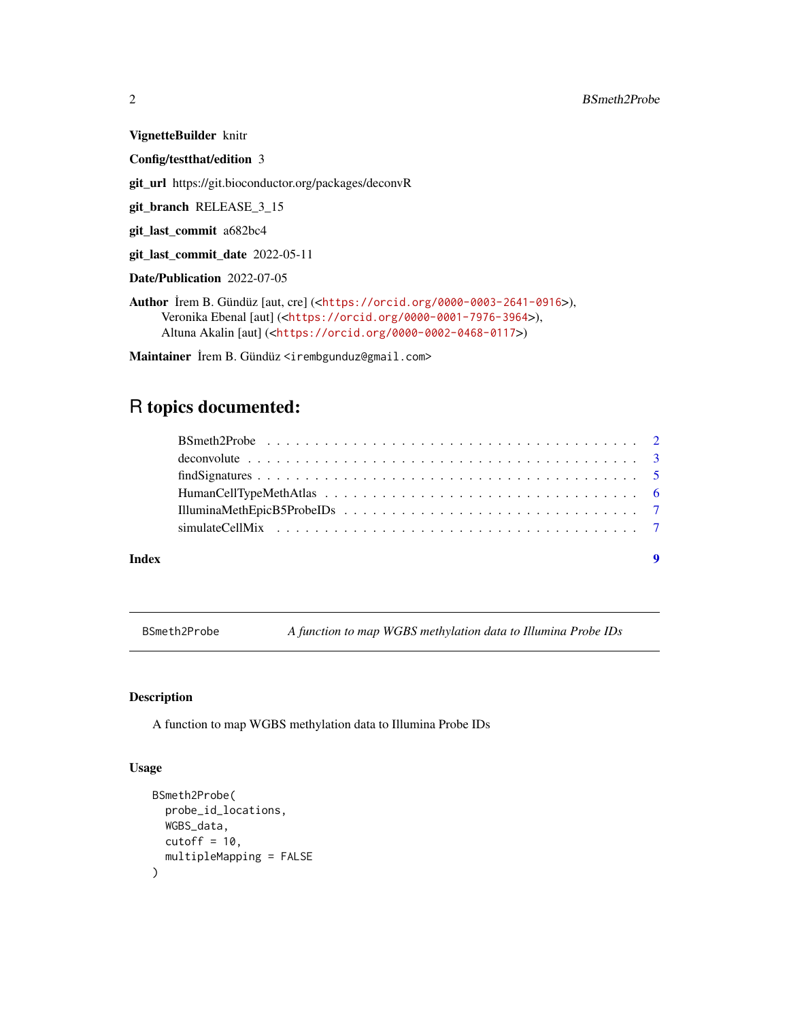VignetteBuilder knitr Config/testthat/edition 3 git\_url https://git.bioconductor.org/packages/deconvR git\_branch RELEASE\_3\_15 git\_last\_commit a682bc4 git\_last\_commit\_date 2022-05-11 Date/Publication 2022-07-05

Author ˙Irem B. Gündüz [aut, cre] (<<https://orcid.org/0000-0003-2641-0916>>), Veronika Ebenal [aut] (<<https://orcid.org/0000-0001-7976-3964>>), Altuna Akalin [aut] (<<https://orcid.org/0000-0002-0468-0117>>)

Maintainer İrem B. Gündüz <irembgunduz@gmail.com>

## R topics documented:

| deconvolute $\ldots \ldots \ldots \ldots \ldots \ldots \ldots \ldots \ldots \ldots \ldots \ldots \ldots$ |  |
|----------------------------------------------------------------------------------------------------------|--|
|                                                                                                          |  |
|                                                                                                          |  |
|                                                                                                          |  |
|                                                                                                          |  |
|                                                                                                          |  |

#### **Index** [9](#page-8-0)

BSmeth2Probe *A function to map WGBS methylation data to Illumina Probe IDs*

## Description

A function to map WGBS methylation data to Illumina Probe IDs

## Usage

```
BSmeth2Probe(
 probe_id_locations,
 WGBS_data,
 cutoff = 10,
  multipleMapping = FALSE
)
```
<span id="page-1-0"></span>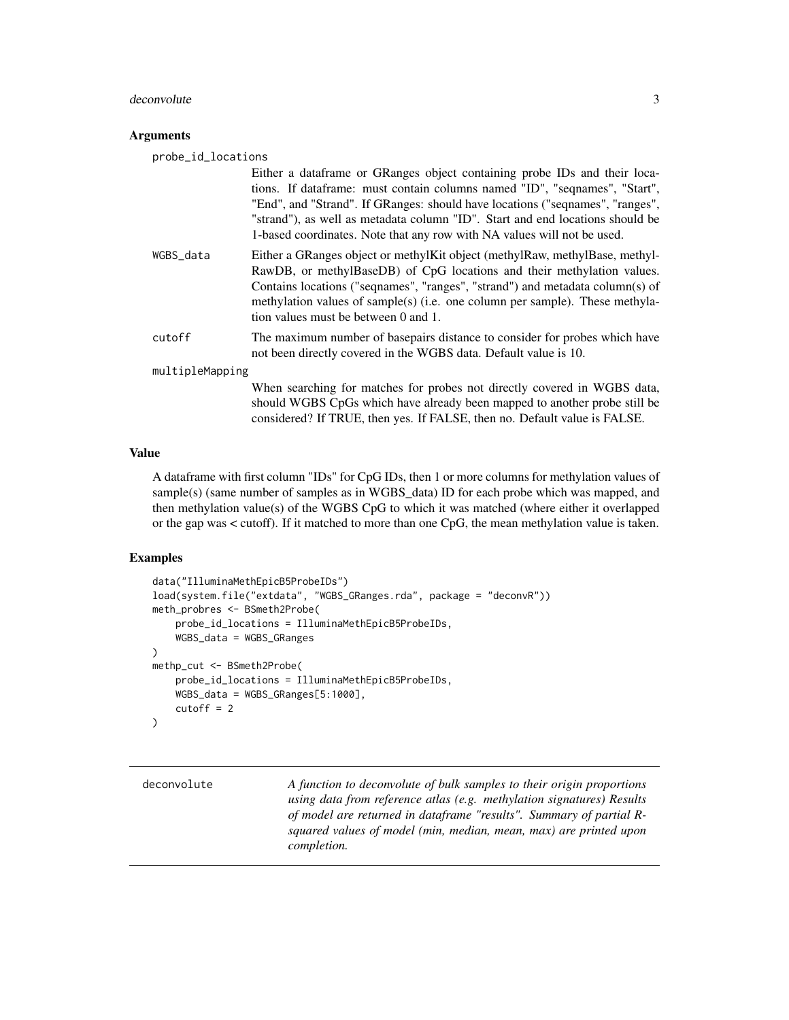#### <span id="page-2-0"></span>deconvolute 3

## **Arguments**

probe\_id\_locations

|                 | Either a dataframe or GRanges object containing probe IDs and their loca-<br>tions. If dataframe: must contain columns named "ID", "seqnames", "Start",<br>"End", and "Strand". If GRanges: should have locations ("sequames", "ranges",<br>"strand"), as well as metadata column "ID". Start and end locations should be<br>1-based coordinates. Note that any row with NA values will not be used. |
|-----------------|------------------------------------------------------------------------------------------------------------------------------------------------------------------------------------------------------------------------------------------------------------------------------------------------------------------------------------------------------------------------------------------------------|
| WGBS_data       | Either a GRanges object or methylKit object (methylRaw, methylBase, methyl-<br>RawDB, or methylBaseDB) of CpG locations and their methylation values.<br>Contains locations ("sequames", "ranges", "strand") and metadata column(s) of<br>methylation values of sample(s) (i.e. one column per sample). These methyla-<br>tion values must be between 0 and 1.                                       |
| cutoff          | The maximum number of basepairs distance to consider for probes which have<br>not been directly covered in the WGBS data. Default value is 10.                                                                                                                                                                                                                                                       |
| multipleMapping |                                                                                                                                                                                                                                                                                                                                                                                                      |
|                 | When searching for matches for probes not directly covered in WGBS data,<br>should WGBS CpGs which have already been mapped to another probe still be<br>considered? If TRUE, then yes. If FALSE, then no. Default value is FALSE.                                                                                                                                                                   |

## Value

A dataframe with first column "IDs" for CpG IDs, then 1 or more columns for methylation values of sample(s) (same number of samples as in WGBS\_data) ID for each probe which was mapped, and then methylation value(s) of the WGBS CpG to which it was matched (where either it overlapped or the gap was < cutoff). If it matched to more than one CpG, the mean methylation value is taken.

## Examples

```
data("IlluminaMethEpicB5ProbeIDs")
load(system.file("extdata", "WGBS_GRanges.rda", package = "deconvR"))
meth_probres <- BSmeth2Probe(
   probe_id_locations = IlluminaMethEpicB5ProbeIDs,
   WGBS_data = WGBS_GRanges
)
methp_cut <- BSmeth2Probe(
   probe_id_locations = IlluminaMethEpicB5ProbeIDs,
   WGBS_data = WGBS_GRanges[5:1000],
   cutoff = 2\mathcal{L}
```

| deconvolute | A function to deconvolute of bulk samples to their origin proportions |
|-------------|-----------------------------------------------------------------------|
|             | using data from reference atlas (e.g. methylation signatures) Results |
|             | of model are returned in dataframe "results". Summary of partial R-   |
|             | squared values of model (min, median, mean, max) are printed upon     |
|             | <i>completion.</i>                                                    |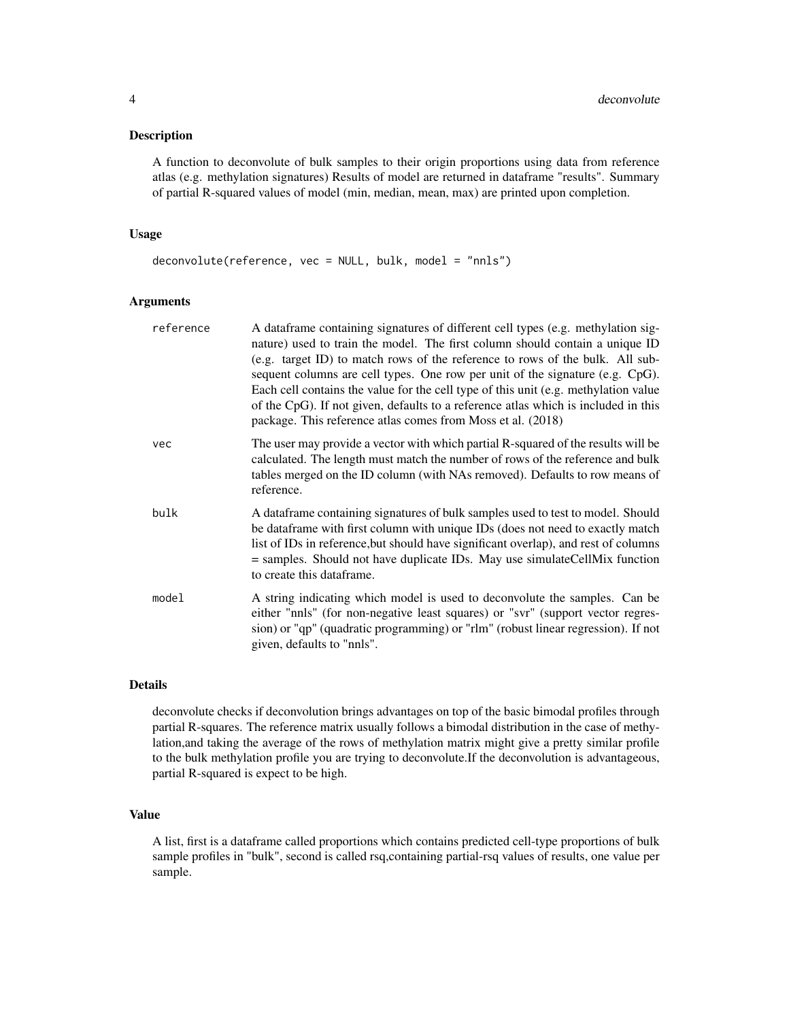#### Description

A function to deconvolute of bulk samples to their origin proportions using data from reference atlas (e.g. methylation signatures) Results of model are returned in dataframe "results". Summary of partial R-squared values of model (min, median, mean, max) are printed upon completion.

## Usage

```
deconvolute(reference, vec = NULL, bulk, model = "nnls")
```
## Arguments

| reference | A dataframe containing signatures of different cell types (e.g. methylation sig-<br>nature) used to train the model. The first column should contain a unique ID<br>(e.g. target ID) to match rows of the reference to rows of the bulk. All sub-<br>sequent columns are cell types. One row per unit of the signature (e.g. CpG).<br>Each cell contains the value for the cell type of this unit (e.g. methylation value<br>of the CpG). If not given, defaults to a reference atlas which is included in this<br>package. This reference atlas comes from Moss et al. (2018) |
|-----------|--------------------------------------------------------------------------------------------------------------------------------------------------------------------------------------------------------------------------------------------------------------------------------------------------------------------------------------------------------------------------------------------------------------------------------------------------------------------------------------------------------------------------------------------------------------------------------|
| vec       | The user may provide a vector with which partial R-squared of the results will be<br>calculated. The length must match the number of rows of the reference and bulk<br>tables merged on the ID column (with NAs removed). Defaults to row means of<br>reference.                                                                                                                                                                                                                                                                                                               |
| bulk      | A data frame containing signatures of bulk samples used to test to model. Should<br>be dataframe with first column with unique IDs (does not need to exactly match<br>list of IDs in reference, but should have significant overlap), and rest of columns<br>= samples. Should not have duplicate IDs. May use simulateCellMix function<br>to create this dataframe.                                                                                                                                                                                                           |
| model     | A string indicating which model is used to deconvolute the samples. Can be<br>either "nnls" (for non-negative least squares) or "svr" (support vector regres-<br>sion) or "qp" (quadratic programming) or "rlm" (robust linear regression). If not<br>given, defaults to "nnls".                                                                                                                                                                                                                                                                                               |

## Details

deconvolute checks if deconvolution brings advantages on top of the basic bimodal profiles through partial R-squares. The reference matrix usually follows a bimodal distribution in the case of methylation,and taking the average of the rows of methylation matrix might give a pretty similar profile to the bulk methylation profile you are trying to deconvolute.If the deconvolution is advantageous, partial R-squared is expect to be high.

## Value

A list, first is a dataframe called proportions which contains predicted cell-type proportions of bulk sample profiles in "bulk", second is called rsq,containing partial-rsq values of results, one value per sample.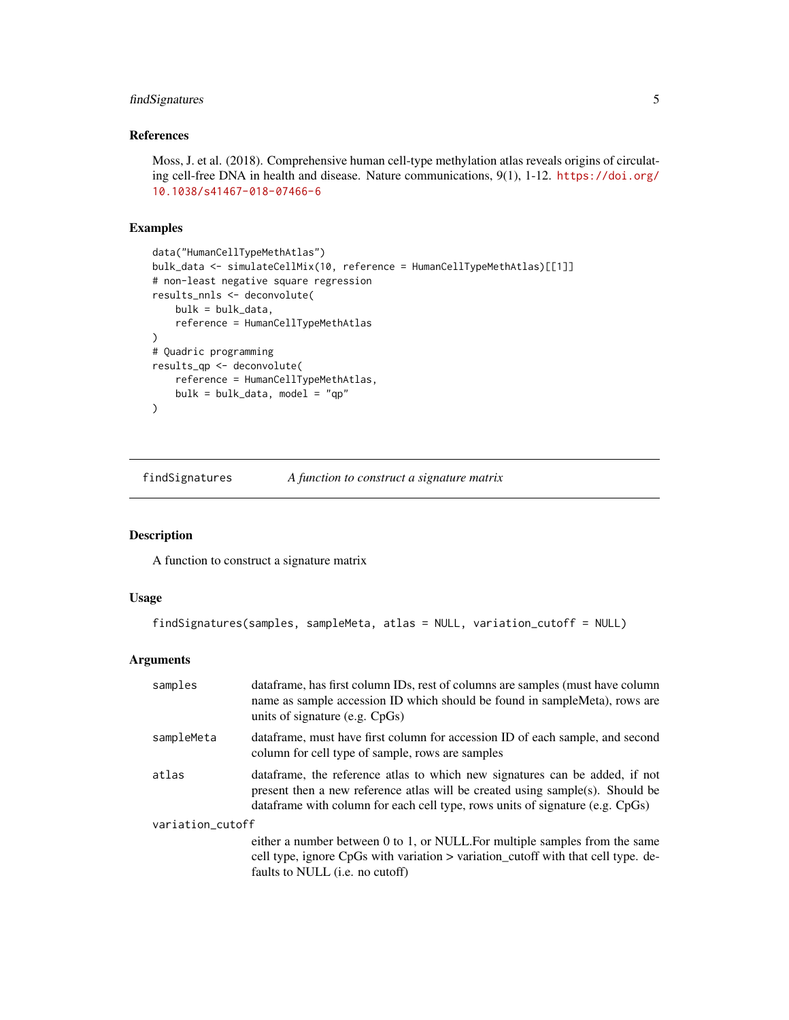## <span id="page-4-0"></span>findSignatures 5

## References

Moss, J. et al. (2018). Comprehensive human cell-type methylation atlas reveals origins of circulating cell-free DNA in health and disease. Nature communications, 9(1), 1-12. [https://doi.org/](https://doi.org/10.1038/s41467-018-07466-6) [10.1038/s41467-018-07466-6](https://doi.org/10.1038/s41467-018-07466-6)

## Examples

```
data("HumanCellTypeMethAtlas")
bulk_data <- simulateCellMix(10, reference = HumanCellTypeMethAtlas)[[1]]
# non-least negative square regression
results_nnls <- deconvolute(
   bulk = bulk_data,reference = HumanCellTypeMethAtlas
\lambda# Quadric programming
results_qp <- deconvolute(
   reference = HumanCellTypeMethAtlas,
   bulk = bulk_data, model = "qp"
)
```
findSignatures *A function to construct a signature matrix*

## Description

A function to construct a signature matrix

## Usage

```
findSignatures(samples, sampleMeta, atlas = NULL, variation_cutoff = NULL)
```
## Arguments

| samples          | dataframe, has first column IDs, rest of columns are samples (must have column<br>name as sample accession ID which should be found in sampleMeta), rows are<br>units of signature (e.g. $CpGs$ )                                               |  |
|------------------|-------------------------------------------------------------------------------------------------------------------------------------------------------------------------------------------------------------------------------------------------|--|
| sampleMeta       | data frame, must have first column for accession ID of each sample, and second<br>column for cell type of sample, rows are samples                                                                                                              |  |
| atlas            | data frame, the reference atlas to which new signatures can be added, if not<br>present then a new reference atlas will be created using sample(s). Should be<br>data frame with column for each cell type, rows units of signature (e.g. CpGs) |  |
| variation_cutoff |                                                                                                                                                                                                                                                 |  |
|                  | either a number between 0 to 1, or NULL. For multiple samples from the same<br>cell type, ignore CpGs with variation > variation_cutoff with that cell type. de-<br>faults to NULL ( <i>i.e.</i> no cutoff)                                     |  |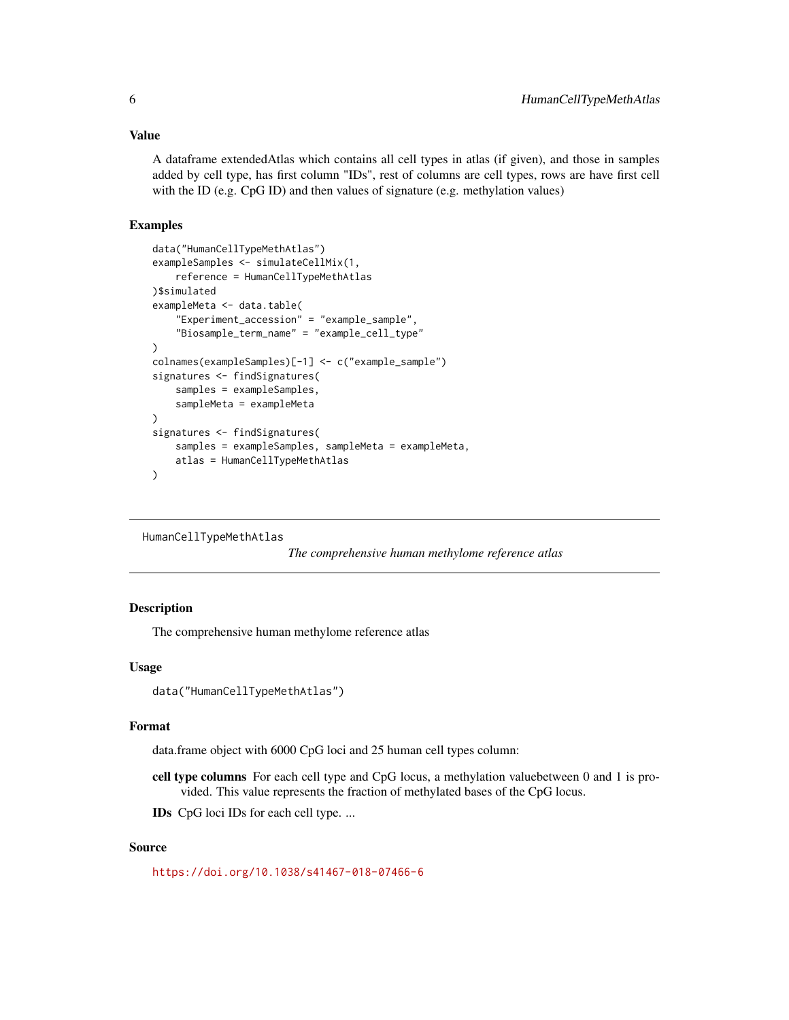## <span id="page-5-0"></span>Value

A dataframe extendedAtlas which contains all cell types in atlas (if given), and those in samples added by cell type, has first column "IDs", rest of columns are cell types, rows are have first cell with the ID (e.g. CpG ID) and then values of signature (e.g. methylation values)

## Examples

```
data("HumanCellTypeMethAtlas")
exampleSamples <- simulateCellMix(1,
    reference = HumanCellTypeMethAtlas
)$simulated
exampleMeta <- data.table(
    "Experiment_accession" = "example_sample",
    "Biosample_term_name" = "example_cell_type"
)
colnames(exampleSamples)[-1] <- c("example_sample")
signatures <- findSignatures(
    samples = exampleSamples,
    sampleMeta = exampleMeta
\mathcal{L}signatures <- findSignatures(
    samples = exampleSamples, sampleMeta = exampleMeta,
    atlas = HumanCellTypeMethAtlas
)
```

```
HumanCellTypeMethAtlas
```
*The comprehensive human methylome reference atlas*

## Description

The comprehensive human methylome reference atlas

## Usage

```
data("HumanCellTypeMethAtlas")
```
#### Format

data.frame object with 6000 CpG loci and 25 human cell types column:

cell type columns For each cell type and CpG locus, a methylation valuebetween 0 and 1 is provided. This value represents the fraction of methylated bases of the CpG locus.

IDs CpG loci IDs for each cell type. ...

## Source

<https://doi.org/10.1038/s41467-018-07466-6>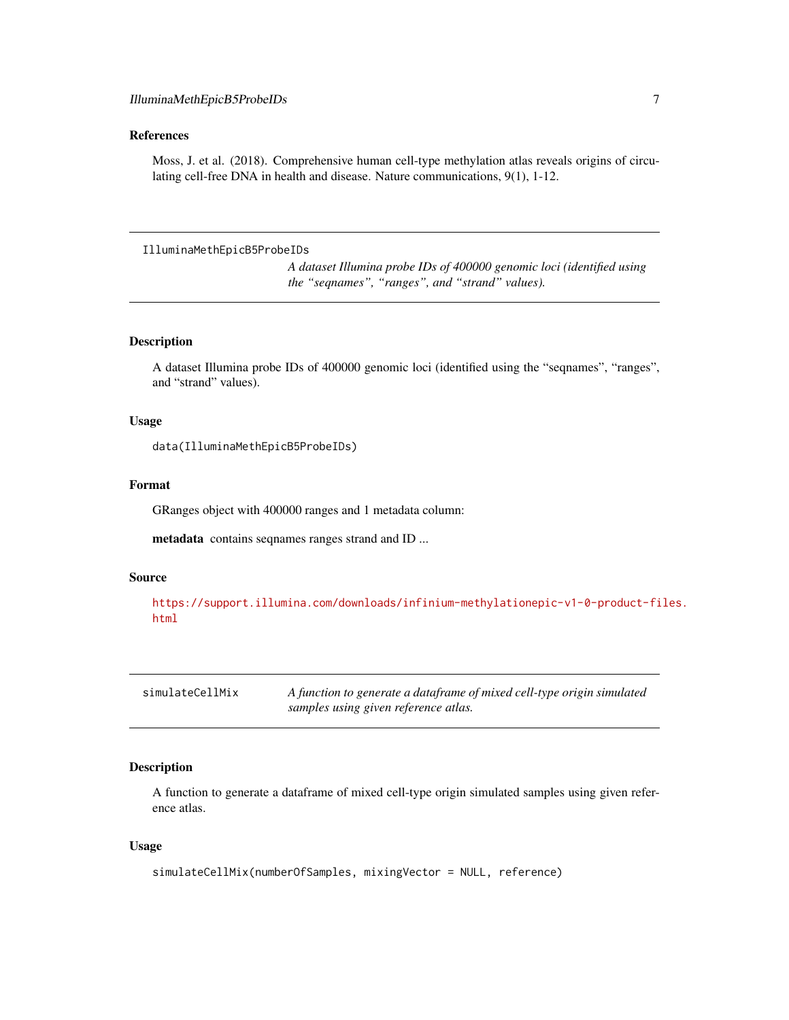## <span id="page-6-0"></span>References

Moss, J. et al. (2018). Comprehensive human cell-type methylation atlas reveals origins of circulating cell-free DNA in health and disease. Nature communications, 9(1), 1-12.

```
IlluminaMethEpicB5ProbeIDs
```
*A dataset Illumina probe IDs of 400000 genomic loci (identified using the "seqnames", "ranges", and "strand" values).*

## Description

A dataset Illumina probe IDs of 400000 genomic loci (identified using the "seqnames", "ranges", and "strand" values).

## Usage

data(IlluminaMethEpicB5ProbeIDs)

## Format

GRanges object with 400000 ranges and 1 metadata column:

metadata contains seqnames ranges strand and ID ...

#### Source

[https://support.illumina.com/downloads/infinium-methylationepic-v1-0-product-fi](https://support.illumina.com/downloads/infinium-methylationepic-v1-0-product-files.html)les. [html](https://support.illumina.com/downloads/infinium-methylationepic-v1-0-product-files.html)

| simulateCellMix | A function to generate a dataframe of mixed cell-type origin simulated |
|-----------------|------------------------------------------------------------------------|
|                 | samples using given reference atlas.                                   |

## Description

A function to generate a dataframe of mixed cell-type origin simulated samples using given reference atlas.

## Usage

```
simulateCellMix(numberOfSamples, mixingVector = NULL, reference)
```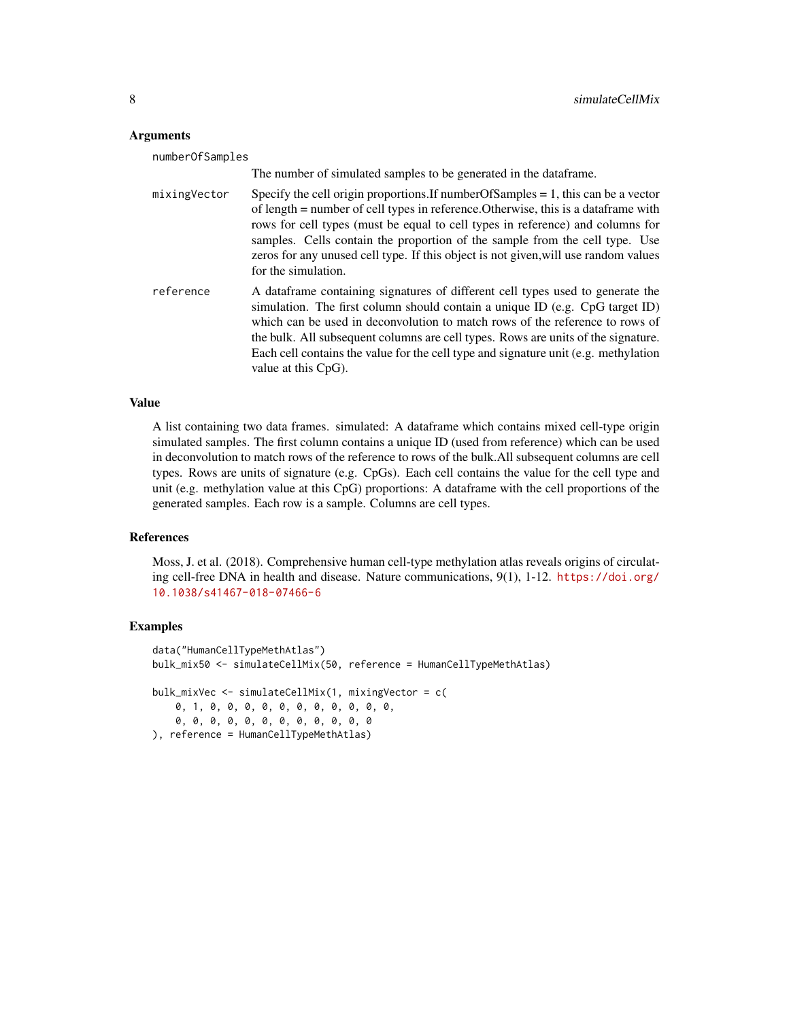#### **Arguments**

| numberOfSamples |                                                                                                                                                                                                                                                                                                                                                                                                                                                              |
|-----------------|--------------------------------------------------------------------------------------------------------------------------------------------------------------------------------------------------------------------------------------------------------------------------------------------------------------------------------------------------------------------------------------------------------------------------------------------------------------|
|                 | The number of simulated samples to be generated in the data frame.                                                                                                                                                                                                                                                                                                                                                                                           |
| mixingVector    | Specify the cell origin proportions. If number Of Samples $= 1$ , this can be a vector<br>of length = number of cell types in reference. Otherwise, this is a data frame with<br>rows for cell types (must be equal to cell types in reference) and columns for<br>samples. Cells contain the proportion of the sample from the cell type. Use<br>zeros for any unused cell type. If this object is not given, will use random values<br>for the simulation. |
| reference       | A data frame containing signatures of different cell types used to generate the<br>simulation. The first column should contain a unique ID (e.g. CpG target ID)<br>which can be used in deconvolution to match rows of the reference to rows of<br>the bulk. All subsequent columns are cell types. Rows are units of the signature.<br>Each cell contains the value for the cell type and signature unit (e.g. methylation<br>value at this CpG).           |

## Value

A list containing two data frames. simulated: A dataframe which contains mixed cell-type origin simulated samples. The first column contains a unique ID (used from reference) which can be used in deconvolution to match rows of the reference to rows of the bulk.All subsequent columns are cell types. Rows are units of signature (e.g. CpGs). Each cell contains the value for the cell type and unit (e.g. methylation value at this CpG) proportions: A dataframe with the cell proportions of the generated samples. Each row is a sample. Columns are cell types.

## References

Moss, J. et al. (2018). Comprehensive human cell-type methylation atlas reveals origins of circulating cell-free DNA in health and disease. Nature communications, 9(1), 1-12. [https://doi.org/](https://doi.org/10.1038/s41467-018-07466-6) [10.1038/s41467-018-07466-6](https://doi.org/10.1038/s41467-018-07466-6)

#### Examples

```
data("HumanCellTypeMethAtlas")
bulk_mix50 <- simulateCellMix(50, reference = HumanCellTypeMethAtlas)
bulk_mixVec <- simulateCellMix(1, mixingVector = c(
   0, 1, 0, 0, 0, 0, 0, 0, 0, 0, 0, 0, 0,
   0, 0, 0, 0, 0, 0, 0, 0, 0, 0, 0, 0
), reference = HumanCellTypeMethAtlas)
```